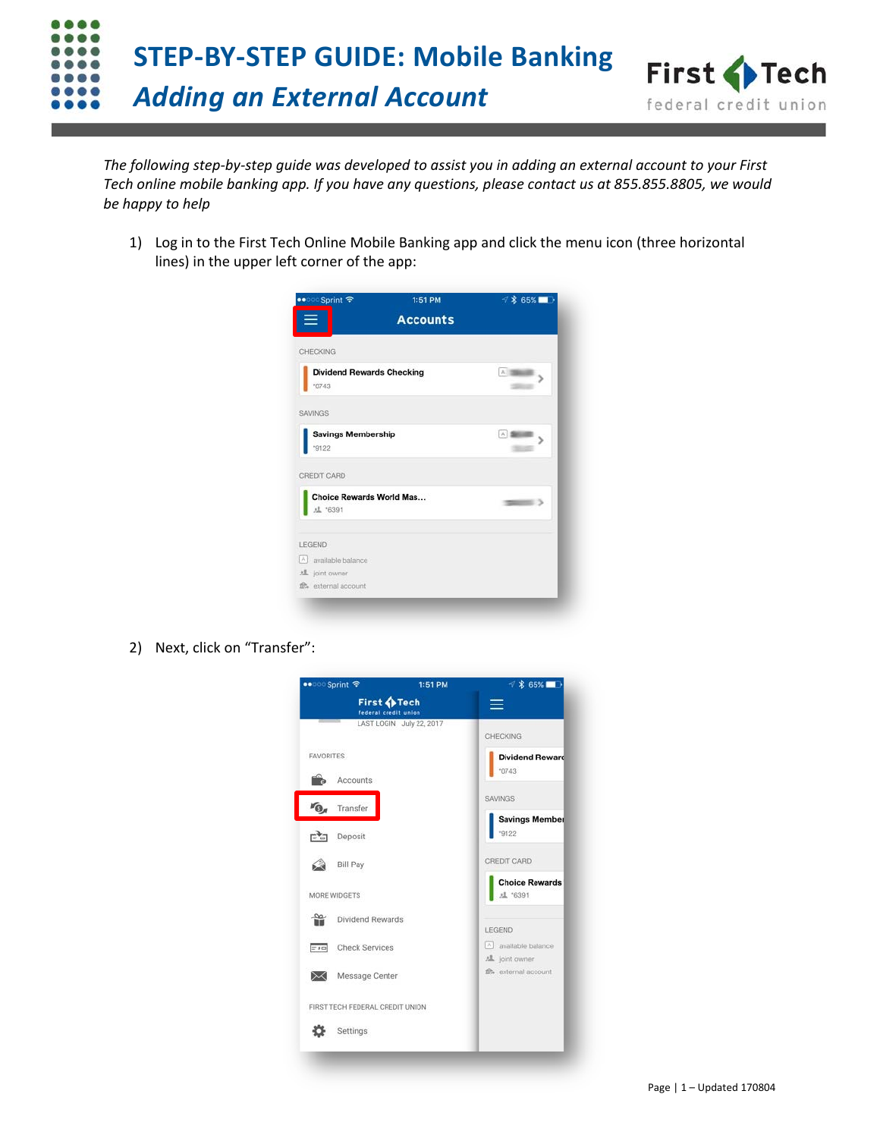

*The following step-by-step guide was developed to assist you in adding an external account to your First Tech online mobile banking app. If you have any questions, please contact us at 855.855.8805, we would be happy to help*

1) Log in to the First Tech Online Mobile Banking app and click the menu icon (three horizontal lines) in the upper left corner of the app:

| •• o Sprint ক<br>≡                         | 1:51 PM<br><b>Accounts</b> | 1 % 65%        |
|--------------------------------------------|----------------------------|----------------|
| CHECKING                                   |                            |                |
| <b>Dividend Rewards Checking</b><br>'0743  |                            | A 1986         |
| SAVINGS                                    |                            |                |
| <b>Savings Membership</b><br>"9122         |                            | A <sup>1</sup> |
| CREDIT CARD                                |                            |                |
| Choice Rewards World Mas<br><b>建</b> *6391 |                            |                |
| <b>LEGEND</b>                              |                            |                |
| $ \wedge $<br>available balance            |                            |                |
| 想 joint owner<br>fft, external account     |                            |                |

2) Next, click on "Transfer":

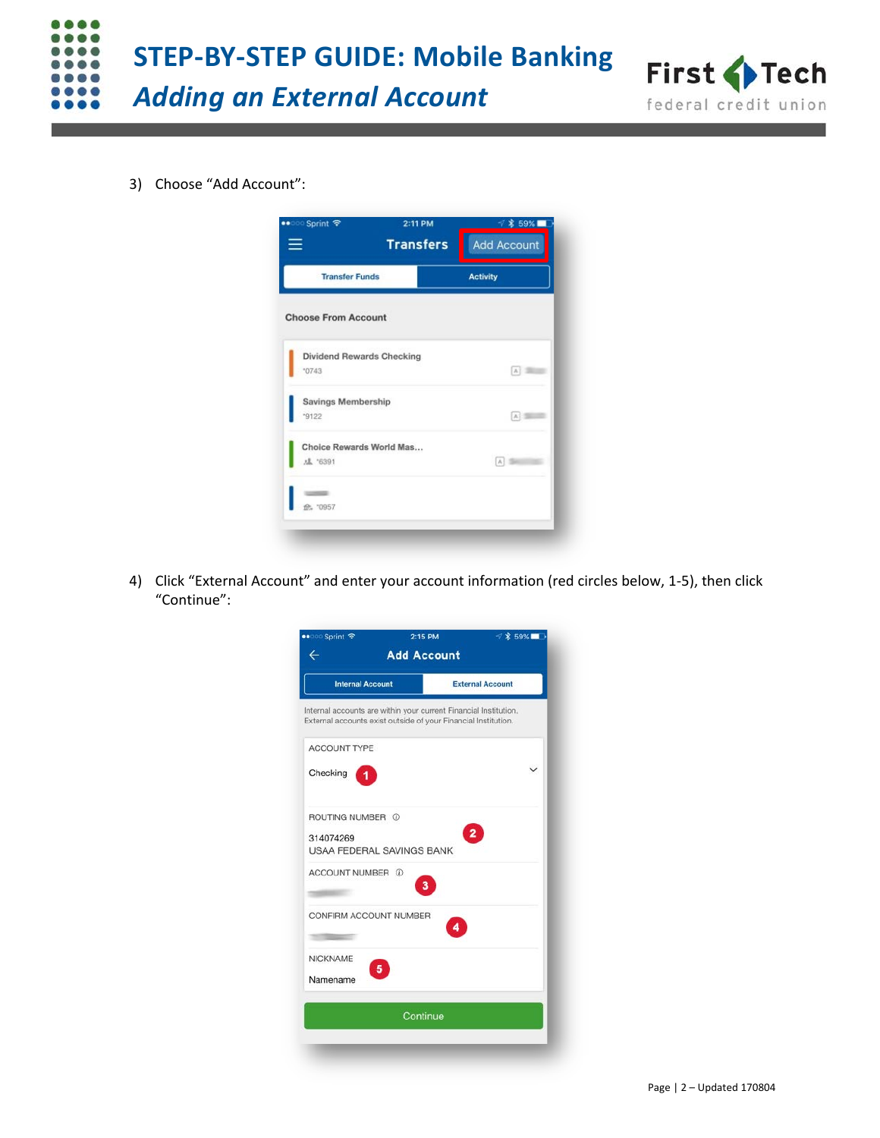



3) Choose "Add Account":

| •• <b>O Sprint ক</b>             | 2:11 PM<br><b>Transfers</b> | 59%  <br><b>Add Account</b> |
|----------------------------------|-----------------------------|-----------------------------|
| <b>Transfer Funds</b>            |                             | <b>Activity</b>             |
| <b>Choose From Account</b>       |                             |                             |
| <b>Dividend Rewards Checking</b> |                             |                             |
| *0743                            |                             | Δ                           |
| Savings Membership               |                             |                             |
| 9122                             |                             | A)                          |
| Choice Rewards World Mas         |                             |                             |
| <b>虚 '6391</b>                   |                             | $ \mathbb{A} $              |
|                                  |                             |                             |
|                                  |                             |                             |

4) Click "External Account" and enter your account information (red circles below, 1-5), then click "Continue":

| •• ত Sprint ক                                                                                                                      | 2:15 PM  | $7$ $*$ 59%             |  |
|------------------------------------------------------------------------------------------------------------------------------------|----------|-------------------------|--|
| <b>Add Account</b><br>$\leftarrow$                                                                                                 |          |                         |  |
| <b>Internal Account</b>                                                                                                            |          | <b>External Account</b> |  |
| Internal accounts are within your current Financial Institution.<br>External accounts exist outside of your Financial Institution. |          |                         |  |
| ACCOUNT TYPE                                                                                                                       |          |                         |  |
| Checking                                                                                                                           |          |                         |  |
| ROUTING NUMBER 1                                                                                                                   |          |                         |  |
| 314074269<br>USAA FEDERAL SAVINGS BANK                                                                                             |          |                         |  |
| ACCOUNT NUMBER 1                                                                                                                   |          |                         |  |
| CONFIRM ACCOUNT NUMBER                                                                                                             |          |                         |  |
| <b>NICKNAME</b>                                                                                                                    |          |                         |  |
| Namename                                                                                                                           |          |                         |  |
|                                                                                                                                    | Continue |                         |  |
|                                                                                                                                    |          |                         |  |
|                                                                                                                                    |          |                         |  |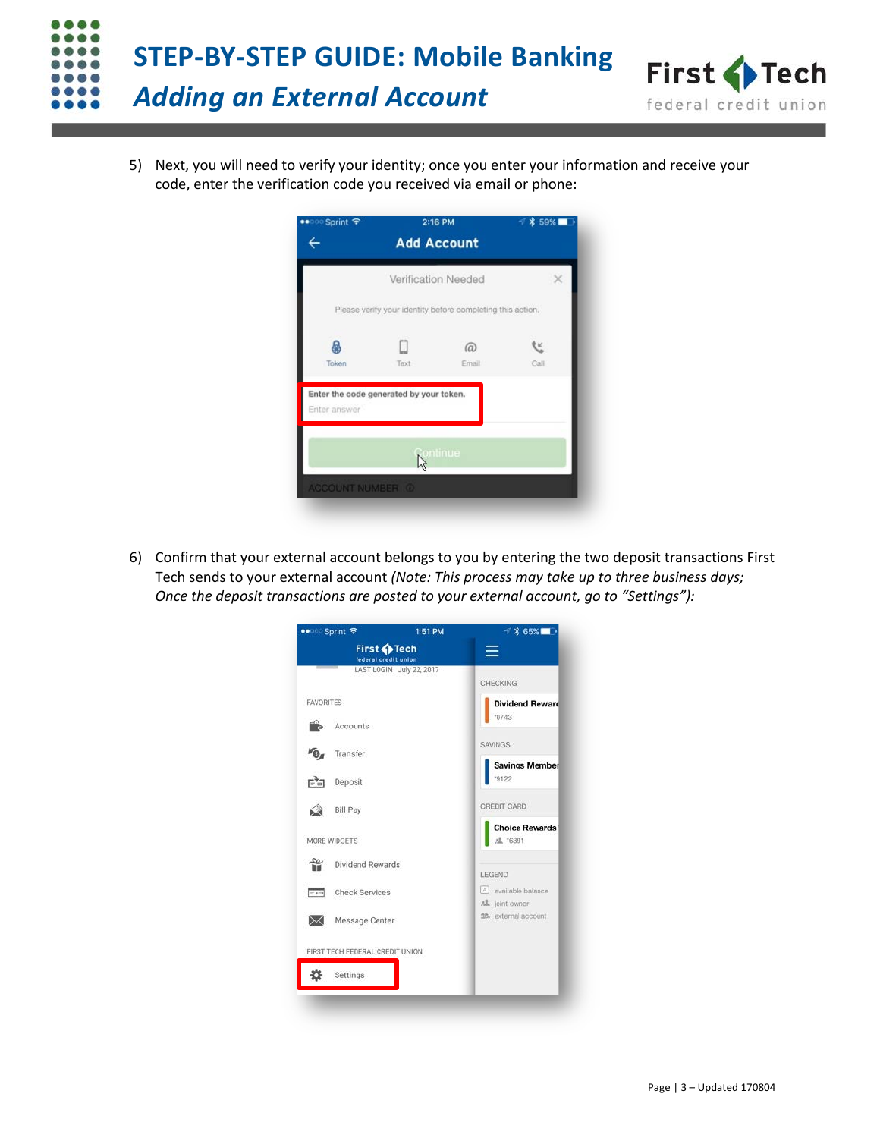

5) Next, you will need to verify your identity; once you enter your information and receive your code, enter the verification code you received via email or phone:

| •• <b>O Sprint</b> ক                    |      | 2:16 PM                                                    | $*59%$ |
|-----------------------------------------|------|------------------------------------------------------------|--------|
|                                         |      | <b>Add Account</b>                                         |        |
|                                         |      | Verification Needed                                        |        |
|                                         |      | Please verify your identity before completing this action. |        |
| Ą                                       |      | $\omega$                                                   |        |
| Token                                   | Text | Email                                                      | Call   |
| Enter the code generated by your token. |      |                                                            |        |
| Enter answer                            |      |                                                            |        |
|                                         |      | ontinue                                                    |        |
|                                         |      |                                                            |        |
|                                         |      |                                                            |        |

6) Confirm that your external account belongs to you by entering the two deposit transactions First Tech sends to your external account *(Note: This process may take up to three business days; Once the deposit transactions are posted to your external account, go to "Settings"):*

| •• <b>Sprint ক</b>                  | 1:51 PM                  | <b>√ * 65%</b>                          |  |
|-------------------------------------|--------------------------|-----------------------------------------|--|
| First OFech<br>federal credit union |                          |                                         |  |
|                                     | LAST LOGIN July 22, 2017 | CHECKING                                |  |
| <b>FAVORITES</b>                    |                          | <b>Dividend Reward</b>                  |  |
| Accounts                            |                          | "0743                                   |  |
| Transfer<br>"O                      |                          | <b>SAVINGS</b>                          |  |
| न्दैन<br>Deposit                    |                          | <b>Savings Member</b><br>"9122          |  |
|                                     |                          | CREDIT CARD                             |  |
| <b>Bill Pay</b>                     |                          | <b>Choice Rewards</b>                   |  |
| MORE WIDGETS                        |                          | <b>儿</b> '6391                          |  |
| œ<br>Dividend Rewards               |                          | LEGEND                                  |  |
| <b>Check Services</b><br>$= 50$     |                          | [A] available balance                   |  |
| Message Center<br>⋉                 |                          | AL joint owner<br>fthe external account |  |
| FIRST TECH FEDERAL CREDIT UNION     |                          |                                         |  |
| Settings                            |                          |                                         |  |
|                                     |                          |                                         |  |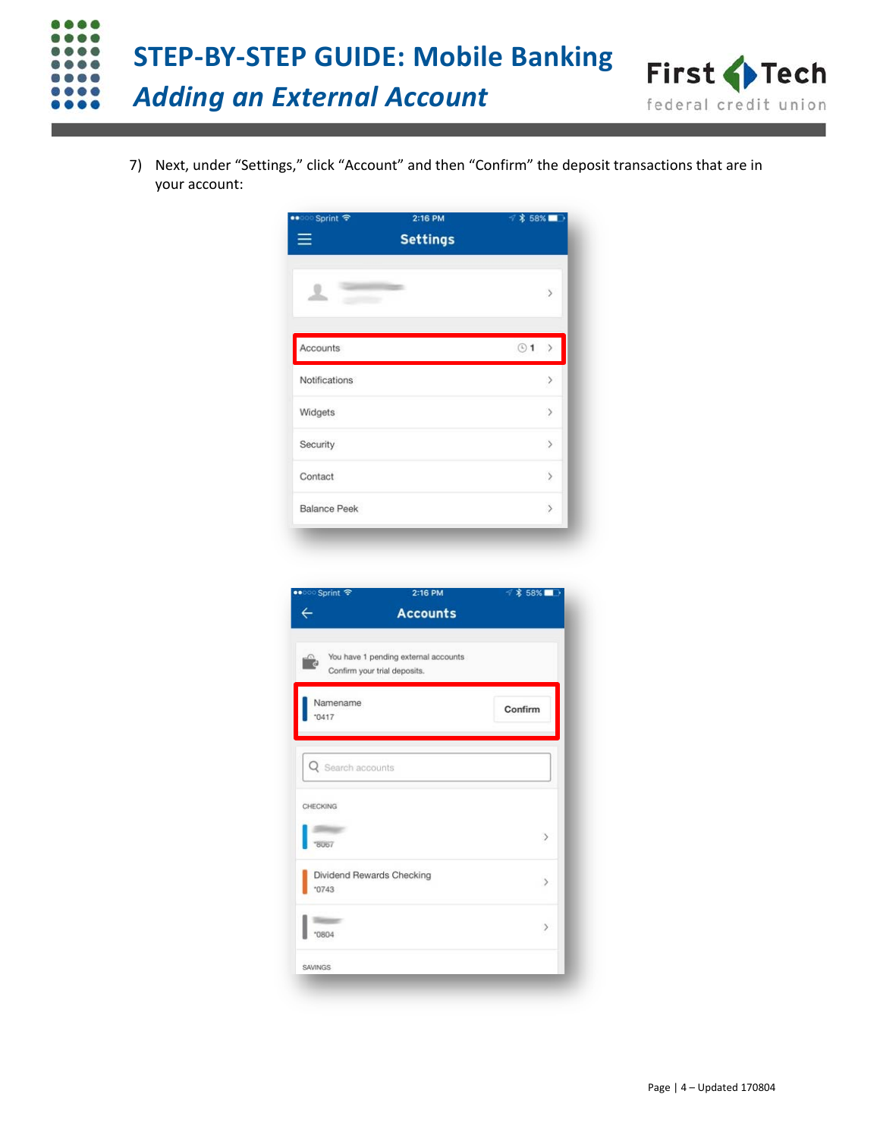

7) Next, under "Settings," click "Account" and then "Confirm" the deposit transactions that are in your account:

| ••○○ Sprint 〒       | 2:16 PM<br><b>Settings</b> | ₹ * 58%   |                              |
|---------------------|----------------------------|-----------|------------------------------|
|                     |                            |           | $\left\langle \right\rangle$ |
| Accounts            |                            | $\odot$ 1 |                              |
| Notifications       |                            |           | $\rightarrow$                |
| Widgets             |                            |           | $\,$                         |
| Security            |                            |           | $\geq$                       |
| Contact             |                            |           | $\,$                         |
| <b>Balance Peek</b> |                            |           | $\left\langle \right\rangle$ |